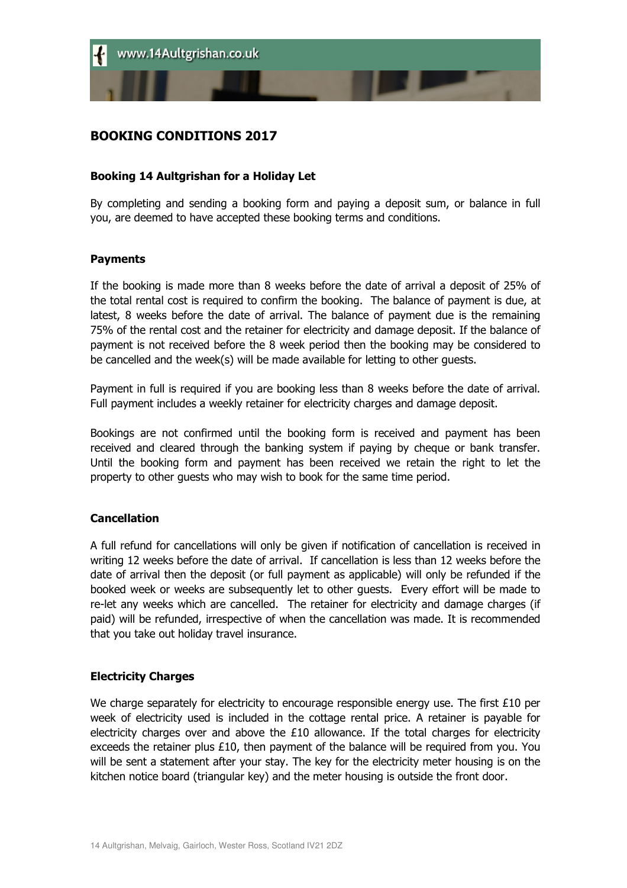# BOOKING CONDITIONS 2017

## Booking 14 Aultgrishan for a Holiday Let

By completing and sending a booking form and paying a deposit sum, or balance in full you, are deemed to have accepted these booking terms and conditions.

### Payments

If the booking is made more than 8 weeks before the date of arrival a deposit of 25% of the total rental cost is required to confirm the booking. The balance of payment is due, at latest, 8 weeks before the date of arrival. The balance of payment due is the remaining 75% of the rental cost and the retainer for electricity and damage deposit. If the balance of payment is not received before the 8 week period then the booking may be considered to be cancelled and the week(s) will be made available for letting to other guests.

Payment in full is required if you are booking less than 8 weeks before the date of arrival. Full payment includes a weekly retainer for electricity charges and damage deposit.

Bookings are not confirmed until the booking form is received and payment has been received and cleared through the banking system if paying by cheque or bank transfer. Until the booking form and payment has been received we retain the right to let the property to other guests who may wish to book for the same time period.

### **Cancellation**

A full refund for cancellations will only be given if notification of cancellation is received in writing 12 weeks before the date of arrival. If cancellation is less than 12 weeks before the date of arrival then the deposit (or full payment as applicable) will only be refunded if the booked week or weeks are subsequently let to other guests. Every effort will be made to re-let any weeks which are cancelled. The retainer for electricity and damage charges (if paid) will be refunded, irrespective of when the cancellation was made. It is recommended that you take out holiday travel insurance.

### Electricity Charges

We charge separately for electricity to encourage responsible energy use. The first  $£10$  per week of electricity used is included in the cottage rental price. A retainer is payable for electricity charges over and above the £10 allowance. If the total charges for electricity exceeds the retainer plus £10, then payment of the balance will be required from you. You will be sent a statement after your stay. The key for the electricity meter housing is on the kitchen notice board (triangular key) and the meter housing is outside the front door.